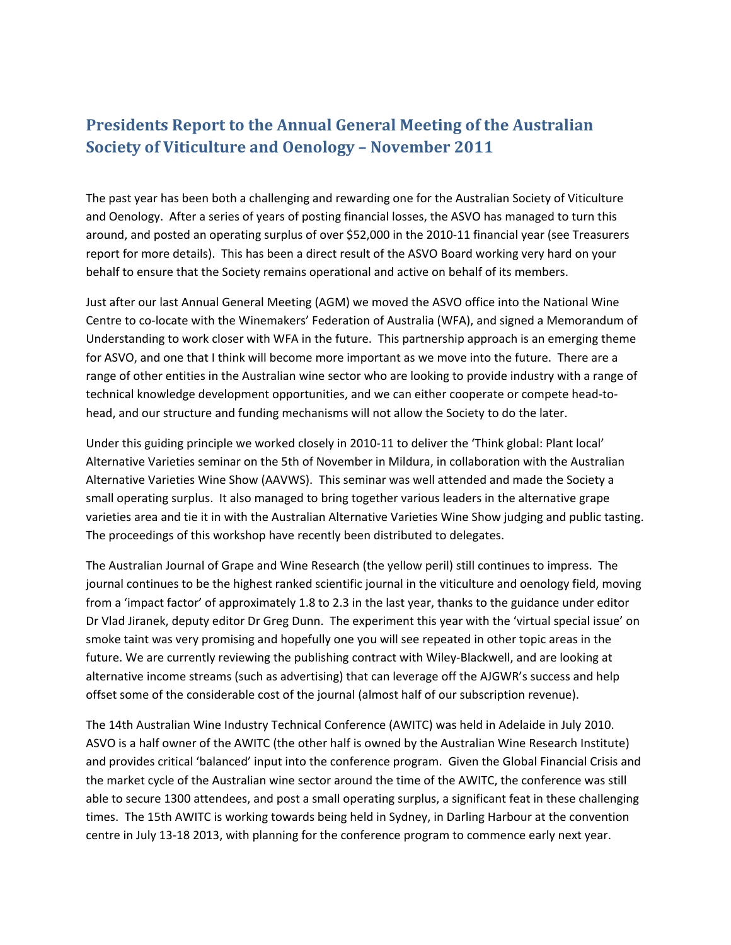# **Presidents Report to the Annual General Meeting of the Australian Society of Viticulture and Oenology – November 2011**

The past year has been both a challenging and rewarding one for the Australian Society of Viticulture and Oenology. After a series of years of posting financial losses, the ASVO has managed to turn this around, and posted an operating surplus of over \$52,000 in the 2010-11 financial year (see Treasurers report for more details). This has been a direct result of the ASVO Board working very hard on your behalf to ensure that the Society remains operational and active on behalf of its members.

Just after our last Annual General Meeting (AGM) we moved the ASVO office into the National Wine Centre to co-locate with the Winemakers' Federation of Australia (WFA), and signed a Memorandum of Understanding to work closer with WFA in the future. This partnership approach is an emerging theme for ASVO, and one that I think will become more important as we move into the future. There are a range of other entities in the Australian wine sector who are looking to provide industry with a range of technical knowledge development opportunities, and we can either cooperate or compete head-tohead, and our structure and funding mechanisms will not allow the Society to do the later.

Under this guiding principle we worked closely in 2010-11 to deliver the 'Think global: Plant local' Alternative Varieties seminar on the 5th of November in Mildura, in collaboration with the Australian Alternative Varieties Wine Show (AAVWS). This seminar was well attended and made the Society a small operating surplus. It also managed to bring together various leaders in the alternative grape varieties area and tie it in with the Australian Alternative Varieties Wine Show judging and public tasting. The proceedings of this workshop have recently been distributed to delegates.

The Australian Journal of Grape and Wine Research (the yellow peril) still continues to impress. The journal continues to be the highest ranked scientific journal in the viticulture and oenology field, moving from a 'impact factor' of approximately 1.8 to 2.3 in the last year, thanks to the guidance under editor Dr Vlad Jiranek, deputy editor Dr Greg Dunn. The experiment this year with the 'virtual special issue' on smoke taint was very promising and hopefully one you will see repeated in other topic areas in the future. We are currently reviewing the publishing contract with Wiley-Blackwell, and are looking at alternative income streams (such as advertising) that can leverage off the AJGWR's success and help offset some of the considerable cost of the journal (almost half of our subscription revenue).

The 14th Australian Wine Industry Technical Conference (AWITC) was held in Adelaide in July 2010. ASVO is a half owner of the AWITC (the other half is owned by the Australian Wine Research Institute) and provides critical 'balanced' input into the conference program. Given the Global Financial Crisis and the market cycle of the Australian wine sector around the time of the AWITC, the conference was still able to secure 1300 attendees, and post a small operating surplus, a significant feat in these challenging times. The 15th AWITC is working towards being held in Sydney, in Darling Harbour at the convention centre in July 13-18 2013, with planning for the conference program to commence early next year.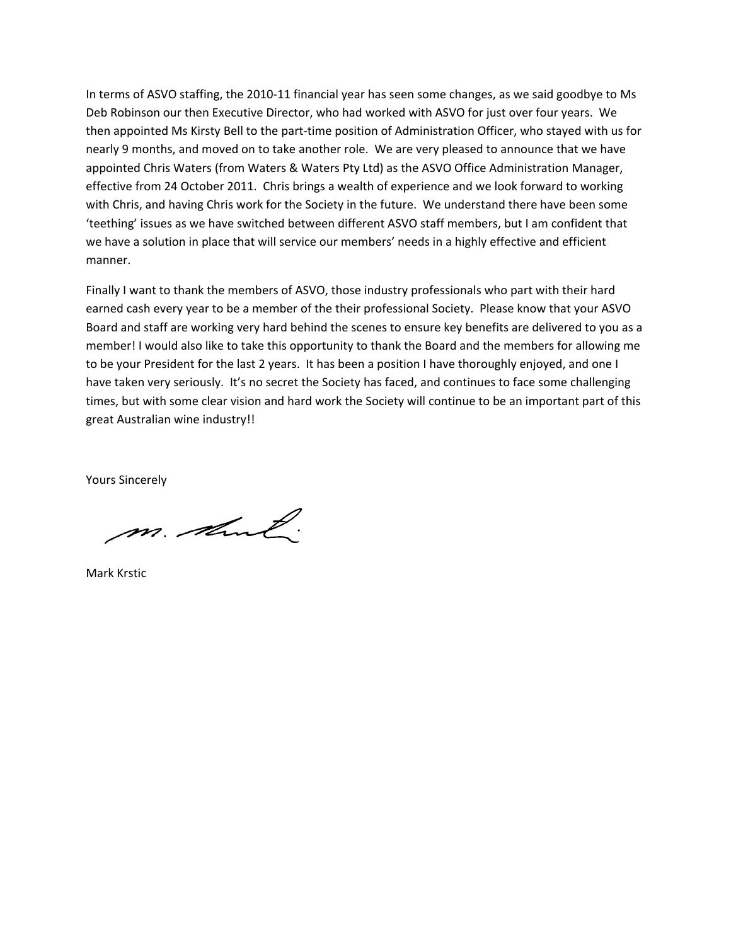In terms of ASVO staffing, the 2010-11 financial year has seen some changes, as we said goodbye to Ms Deb Robinson our then Executive Director, who had worked with ASVO for just over four years. We then appointed Ms Kirsty Bell to the part-time position of Administration Officer, who stayed with us for nearly 9 months, and moved on to take another role. We are very pleased to announce that we have appointed Chris Waters (from Waters & Waters Pty Ltd) as the ASVO Office Administration Manager, effective from 24 October 2011. Chris brings a wealth of experience and we look forward to working with Chris, and having Chris work for the Society in the future. We understand there have been some 'teething' issues as we have switched between different ASVO staff members, but I am confident that we have a solution in place that will service our members' needs in a highly effective and efficient manner.

Finally I want to thank the members of ASVO, those industry professionals who part with their hard earned cash every year to be a member of the their professional Society. Please know that your ASVO Board and staff are working very hard behind the scenes to ensure key benefits are delivered to you as a member! I would also like to take this opportunity to thank the Board and the members for allowing me to be your President for the last 2 years. It has been a position I have thoroughly enjoyed, and one I have taken very seriously. It's no secret the Society has faced, and continues to face some challenging times, but with some clear vision and hard work the Society will continue to be an important part of this great Australian wine industry!!

Yours Sincerely

m. And

Mark Krstic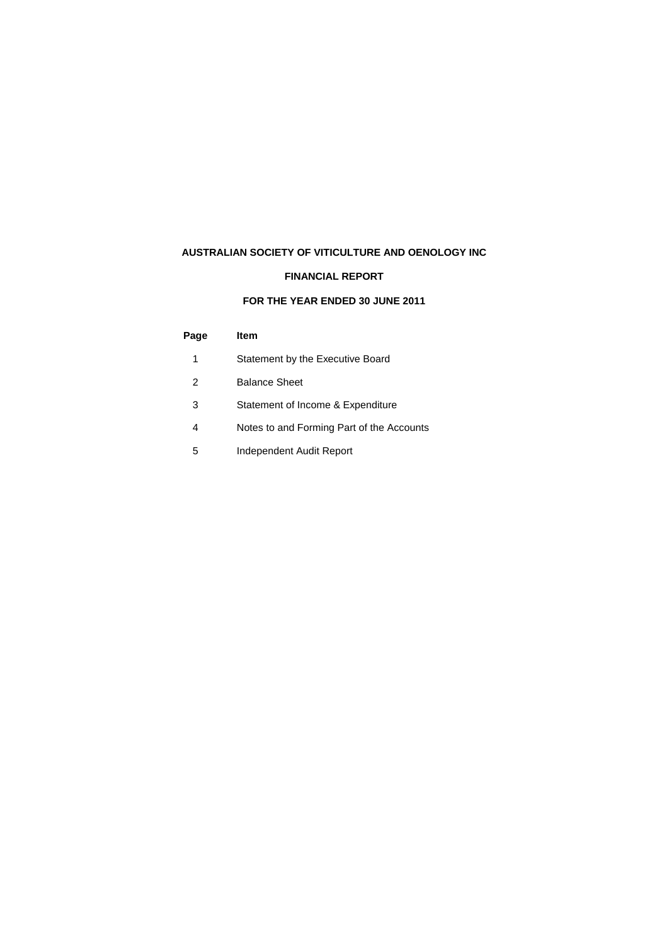## **AUSTRALIAN SOCIETY OF VITICULTURE AND OENOLOGY INC**

## **FINANCIAL REPORT**

## **FOR THE YEAR ENDED 30 JUNE 2011**

## **Page Item**

- 1 Statement by the Executive Board
- 2 Balance Sheet
- 3 Statement of Income & Expenditure
- 4 Notes to and Forming Part of the Accounts
- 5 Independent Audit Report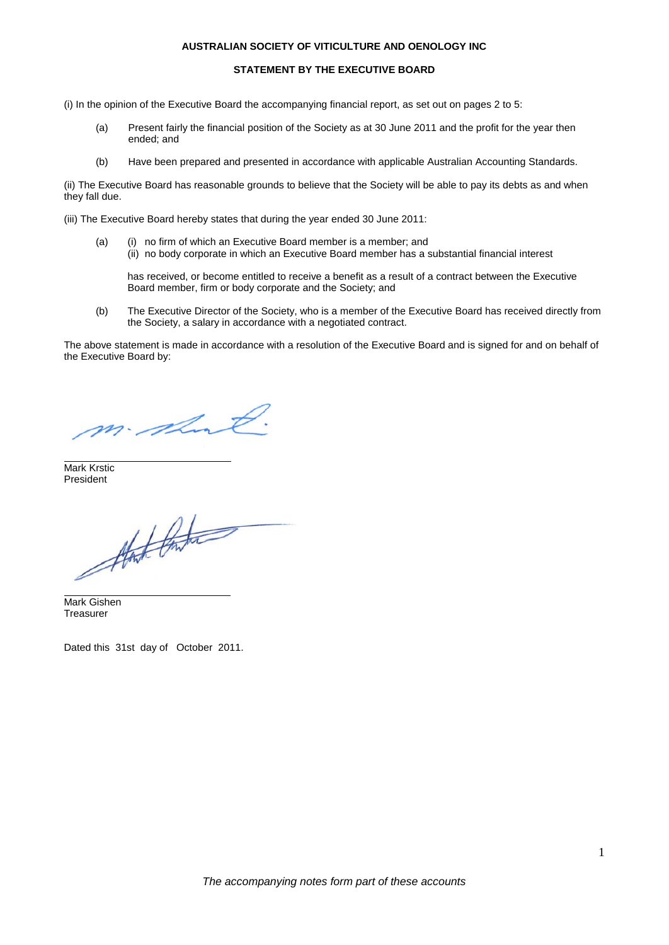#### **AUSTRALIAN SOCIETY OF VITICULTURE AND OENOLOGY INC**

#### **STATEMENT BY THE EXECUTIVE BOARD**

- (i) In the opinion of the Executive Board the accompanying financial report, as set out on pages 2 to 5:
	- (a) Present fairly the financial position of the Society as at 30 June 2011 and the profit for the year then ended; and
	- (b) Have been prepared and presented in accordance with applicable Australian Accounting Standards.

(ii) The Executive Board has reasonable grounds to believe that the Society will be able to pay its debts as and when they fall due.

(iii) The Executive Board hereby states that during the year ended 30 June 2011:

(a) (i) no firm of which an Executive Board member is a member; and (ii) no body corporate in which an Executive Board member has a substantial financial interest

has received, or become entitled to receive a benefit as a result of a contract between the Executive Board member, firm or body corporate and the Society; and

(b) The Executive Director of the Society, who is a member of the Executive Board has received directly from the Society, a salary in accordance with a negotiated contract.

The above statement is made in accordance with a resolution of the Executive Board and is signed for and on behalf of the Executive Board by:

m. short

Mark Krstic President

that the

Mark Gishen **Treasurer** 

Dated this 31st day of October 2011.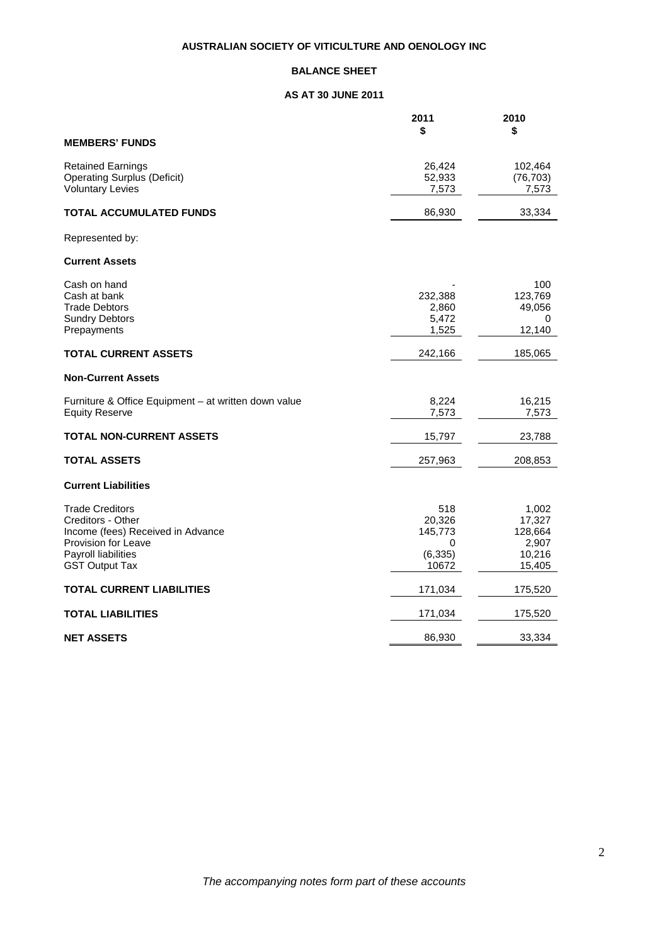## **BALANCE SHEET**

## **AS AT 30 JUNE 2011**

|                                                      | 2011     | 2010      |
|------------------------------------------------------|----------|-----------|
|                                                      | \$       | \$        |
| <b>MEMBERS' FUNDS</b>                                |          |           |
| <b>Retained Earnings</b>                             | 26,424   | 102,464   |
| <b>Operating Surplus (Deficit)</b>                   | 52,933   | (76, 703) |
| <b>Voluntary Levies</b>                              | 7,573    | 7,573     |
| <b>TOTAL ACCUMULATED FUNDS</b>                       | 86,930   | 33,334    |
| Represented by:                                      |          |           |
| <b>Current Assets</b>                                |          |           |
| Cash on hand                                         |          | 100       |
| Cash at bank                                         | 232,388  | 123,769   |
| <b>Trade Debtors</b>                                 | 2,860    | 49,056    |
| <b>Sundry Debtors</b>                                | 5,472    | 0         |
| Prepayments                                          | 1,525    | 12,140    |
| <b>TOTAL CURRENT ASSETS</b>                          | 242,166  | 185,065   |
| <b>Non-Current Assets</b>                            |          |           |
| Furniture & Office Equipment – at written down value | 8,224    | 16,215    |
| <b>Equity Reserve</b>                                | 7,573    | 7,573     |
| <b>TOTAL NON-CURRENT ASSETS</b>                      | 15,797   | 23,788    |
| <b>TOTAL ASSETS</b>                                  | 257,963  | 208,853   |
| <b>Current Liabilities</b>                           |          |           |
| <b>Trade Creditors</b>                               | 518      | 1,002     |
| Creditors - Other                                    | 20,326   | 17,327    |
| Income (fees) Received in Advance                    | 145,773  | 128,664   |
| Provision for Leave                                  | 0        | 2,907     |
| Payroll liabilities                                  | (6, 335) | 10,216    |
| <b>GST Output Tax</b>                                | 10672    | 15,405    |
| <b>TOTAL CURRENT LIABILITIES</b>                     | 171,034  | 175,520   |
| <b>TOTAL LIABILITIES</b>                             | 171,034  | 175,520   |
| <b>NET ASSETS</b>                                    | 86,930   | 33,334    |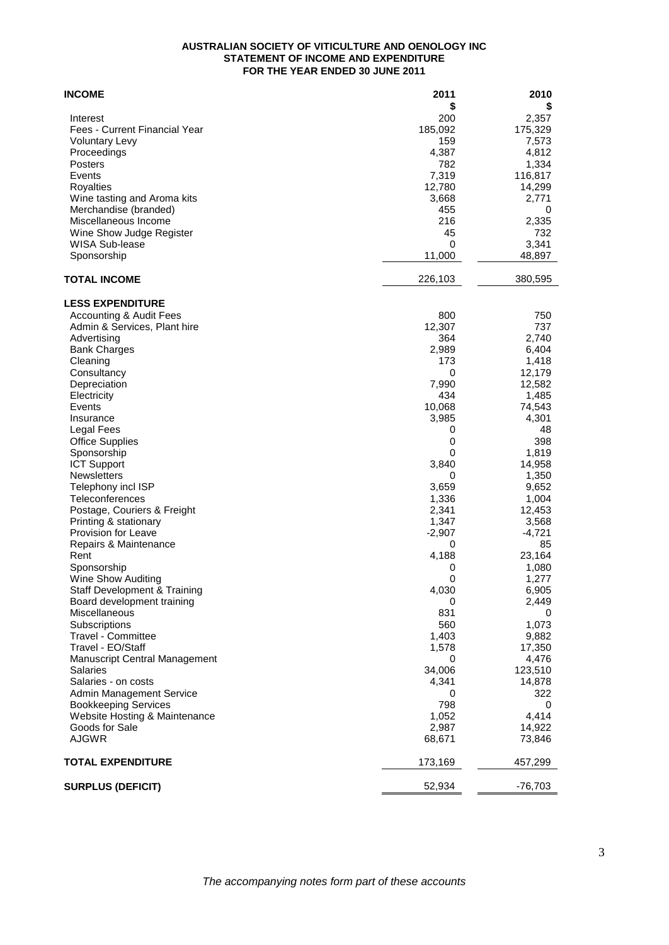### **AUSTRALIAN SOCIETY OF VITICULTURE AND OENOLOGY INC STATEMENT OF INCOME AND EXPENDITURE FOR THE YEAR ENDED 30 JUNE 2011**

| <b>INCOME</b>                                   | 2011            | 2010             |
|-------------------------------------------------|-----------------|------------------|
|                                                 | \$              | \$               |
| Interest                                        | 200             | 2,357            |
| Fees - Current Financial Year                   | 185,092         | 175,329          |
| <b>Voluntary Levy</b>                           | 159             | 7,573            |
| Proceedings                                     | 4,387           | 4,812            |
| Posters                                         | 782             | 1,334            |
| Events                                          | 7,319           | 116,817          |
| Royalties                                       | 12,780          | 14,299           |
| Wine tasting and Aroma kits                     | 3,668           | 2,771            |
| Merchandise (branded)<br>Miscellaneous Income   | 455<br>216      | 0                |
| Wine Show Judge Register                        | 45              | 2,335<br>732     |
| <b>WISA Sub-lease</b>                           | 0               | 3,341            |
| Sponsorship                                     | 11,000          | 48,897           |
| <b>TOTAL INCOME</b>                             | 226,103         | 380,595          |
|                                                 |                 |                  |
| <b>LESS EXPENDITURE</b>                         |                 |                  |
| Accounting & Audit Fees                         | 800             | 750              |
| Admin & Services, Plant hire                    | 12,307          | 737              |
| Advertising                                     | 364             | 2,740            |
| <b>Bank Charges</b>                             | 2,989           | 6,404            |
| Cleaning                                        | 173             | 1,418            |
| Consultancy                                     | 0               | 12,179           |
| Depreciation<br>Electricity                     | 7,990<br>434    | 12,582<br>1,485  |
| Events                                          | 10,068          |                  |
| Insurance                                       | 3,985           | 74,543<br>4,301  |
| Legal Fees                                      | 0               | 48               |
| <b>Office Supplies</b>                          | 0               | 398              |
| Sponsorship                                     | 0               | 1,819            |
| <b>ICT Support</b>                              | 3,840           | 14,958           |
| <b>Newsletters</b>                              | 0               | 1,350            |
| Telephony incl ISP                              | 3,659           | 9,652            |
| Teleconferences                                 | 1,336           | 1,004            |
| Postage, Couriers & Freight                     | 2,341           | 12,453           |
| Printing & stationary                           | 1,347           | 3,568            |
| Provision for Leave                             | $-2,907$        | $-4,721$         |
| Repairs & Maintenance                           | 0               | 85               |
| Rent                                            | 4,188           | 23,164           |
| Sponsorship                                     | 0               | 1,080            |
| Wine Show Auditing                              | 0               | 1,277            |
| <b>Staff Development &amp; Training</b>         | 4,030           | 6,905            |
| Board development training                      | 0               | 2,449            |
| Miscellaneous                                   | 831             | 0                |
| Subscriptions                                   | 560             | 1,073            |
| Travel - Committee                              | 1,403           | 9,882            |
| Travel - EO/Staff                               | 1,578           | 17,350           |
| <b>Manuscript Central Management</b>            | 0               | 4,476            |
| Salaries                                        | 34,006          | 123,510          |
| Salaries - on costs                             | 4,341           | 14,878           |
| Admin Management Service                        | 0               | 322              |
| <b>Bookkeeping Services</b>                     | 798             | 0                |
| Website Hosting & Maintenance<br>Goods for Sale | 1,052           | 4,414            |
| <b>AJGWR</b>                                    | 2,987<br>68,671 | 14,922<br>73,846 |
|                                                 |                 |                  |
| <b>TOTAL EXPENDITURE</b>                        | 173,169         | 457,299          |
| <b>SURPLUS (DEFICIT)</b>                        | 52,934          | -76,703          |